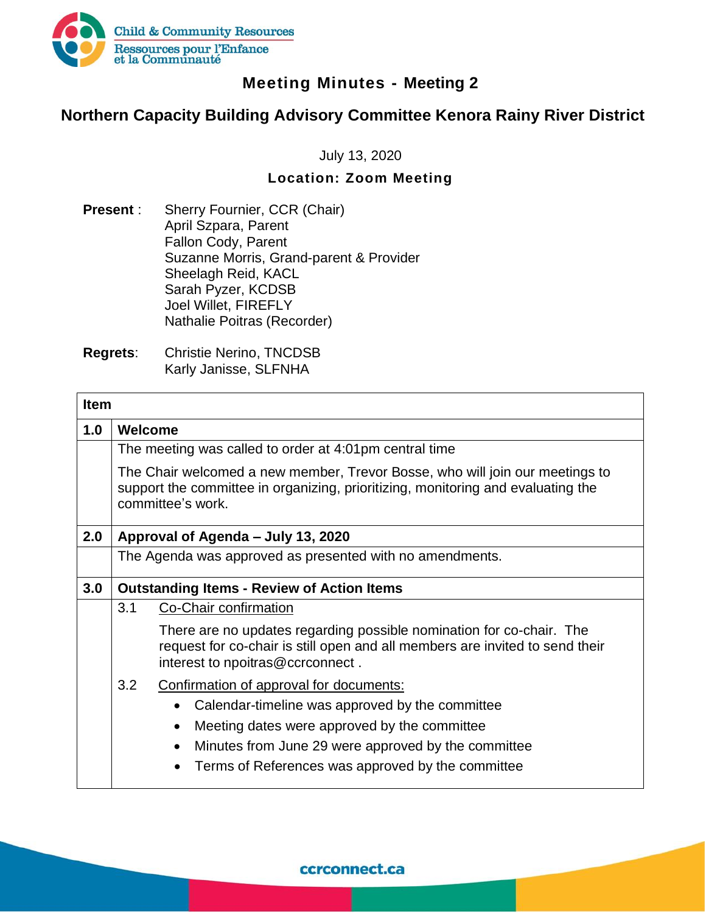

## **Meeting Minutes - Meeting 2**

## **Northern Capacity Building Advisory Committee Kenora Rainy River District**

July 13, 2020

#### **Location: Zoom Meeting**

- **Present** : Sherry Fournier, CCR (Chair) April Szpara, Parent Fallon Cody, Parent Suzanne Morris, Grand-parent & Provider Sheelagh Reid, KACL Sarah Pyzer, KCDSB Joel Willet, FIREFLY Nathalie Poitras (Recorder)
- **Regrets**: Christie Nerino, TNCDSB Karly Janisse, SLFNHA

|     | <b>Item</b>                                                                                                                                                                              |  |  |  |  |  |  |  |
|-----|------------------------------------------------------------------------------------------------------------------------------------------------------------------------------------------|--|--|--|--|--|--|--|
| 1.0 | Welcome                                                                                                                                                                                  |  |  |  |  |  |  |  |
|     | The meeting was called to order at 4:01pm central time                                                                                                                                   |  |  |  |  |  |  |  |
|     | The Chair welcomed a new member, Trevor Bosse, who will join our meetings to<br>support the committee in organizing, prioritizing, monitoring and evaluating the<br>committee's work.    |  |  |  |  |  |  |  |
| 2.0 | Approval of Agenda – July 13, 2020                                                                                                                                                       |  |  |  |  |  |  |  |
|     | The Agenda was approved as presented with no amendments.                                                                                                                                 |  |  |  |  |  |  |  |
| 3.0 | <b>Outstanding Items - Review of Action Items</b>                                                                                                                                        |  |  |  |  |  |  |  |
|     | 3.1<br>Co-Chair confirmation                                                                                                                                                             |  |  |  |  |  |  |  |
|     | There are no updates regarding possible nomination for co-chair. The<br>request for co-chair is still open and all members are invited to send their<br>interest to npoitras@ccrconnect. |  |  |  |  |  |  |  |
|     | 3.2<br>Confirmation of approval for documents:                                                                                                                                           |  |  |  |  |  |  |  |
|     | Calendar-timeline was approved by the committee                                                                                                                                          |  |  |  |  |  |  |  |
|     | Meeting dates were approved by the committee<br>$\bullet$                                                                                                                                |  |  |  |  |  |  |  |
|     | Minutes from June 29 were approved by the committee                                                                                                                                      |  |  |  |  |  |  |  |
|     | Terms of References was approved by the committee<br>$\bullet$                                                                                                                           |  |  |  |  |  |  |  |

ccrconnect.ca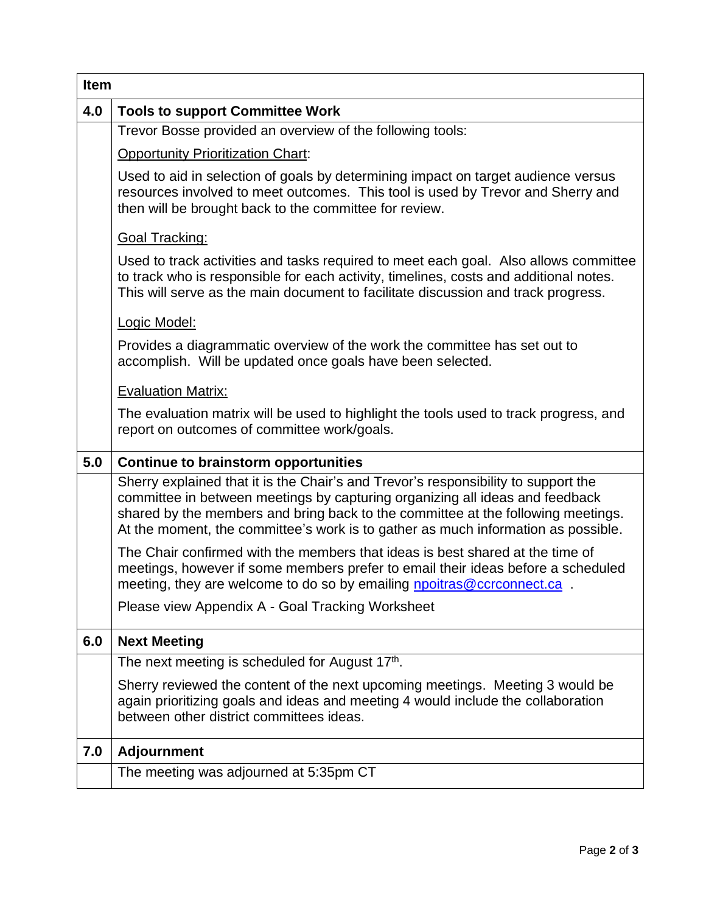| <b>Item</b>                                                                                                                                                                                                                                                                                                                                 |  |  |  |  |  |  |  |
|---------------------------------------------------------------------------------------------------------------------------------------------------------------------------------------------------------------------------------------------------------------------------------------------------------------------------------------------|--|--|--|--|--|--|--|
| 4.0<br><b>Tools to support Committee Work</b>                                                                                                                                                                                                                                                                                               |  |  |  |  |  |  |  |
| Trevor Bosse provided an overview of the following tools:                                                                                                                                                                                                                                                                                   |  |  |  |  |  |  |  |
| <b>Opportunity Prioritization Chart:</b>                                                                                                                                                                                                                                                                                                    |  |  |  |  |  |  |  |
| Used to aid in selection of goals by determining impact on target audience versus<br>resources involved to meet outcomes. This tool is used by Trevor and Sherry and<br>then will be brought back to the committee for review.                                                                                                              |  |  |  |  |  |  |  |
| <b>Goal Tracking:</b>                                                                                                                                                                                                                                                                                                                       |  |  |  |  |  |  |  |
| Used to track activities and tasks required to meet each goal. Also allows committee<br>to track who is responsible for each activity, timelines, costs and additional notes.<br>This will serve as the main document to facilitate discussion and track progress.                                                                          |  |  |  |  |  |  |  |
| Logic Model:                                                                                                                                                                                                                                                                                                                                |  |  |  |  |  |  |  |
| Provides a diagrammatic overview of the work the committee has set out to<br>accomplish. Will be updated once goals have been selected.                                                                                                                                                                                                     |  |  |  |  |  |  |  |
| <b>Evaluation Matrix:</b>                                                                                                                                                                                                                                                                                                                   |  |  |  |  |  |  |  |
| The evaluation matrix will be used to highlight the tools used to track progress, and<br>report on outcomes of committee work/goals.                                                                                                                                                                                                        |  |  |  |  |  |  |  |
| <b>Continue to brainstorm opportunities</b>                                                                                                                                                                                                                                                                                                 |  |  |  |  |  |  |  |
| Sherry explained that it is the Chair's and Trevor's responsibility to support the<br>committee in between meetings by capturing organizing all ideas and feedback<br>shared by the members and bring back to the committee at the following meetings.<br>At the moment, the committee's work is to gather as much information as possible. |  |  |  |  |  |  |  |
| The Chair confirmed with the members that ideas is best shared at the time of<br>meetings, however if some members prefer to email their ideas before a scheduled<br>meeting, they are welcome to do so by emailing <b>npoitras@ccrconnect.ca</b> .                                                                                         |  |  |  |  |  |  |  |
| Please view Appendix A - Goal Tracking Worksheet                                                                                                                                                                                                                                                                                            |  |  |  |  |  |  |  |
| <b>Next Meeting</b>                                                                                                                                                                                                                                                                                                                         |  |  |  |  |  |  |  |
| The next meeting is scheduled for August 17th.                                                                                                                                                                                                                                                                                              |  |  |  |  |  |  |  |
| Sherry reviewed the content of the next upcoming meetings. Meeting 3 would be<br>again prioritizing goals and ideas and meeting 4 would include the collaboration<br>between other district committees ideas.                                                                                                                               |  |  |  |  |  |  |  |
| <b>Adjournment</b>                                                                                                                                                                                                                                                                                                                          |  |  |  |  |  |  |  |
| The meeting was adjourned at 5:35pm CT                                                                                                                                                                                                                                                                                                      |  |  |  |  |  |  |  |
|                                                                                                                                                                                                                                                                                                                                             |  |  |  |  |  |  |  |

 $\overline{1}$ 

٦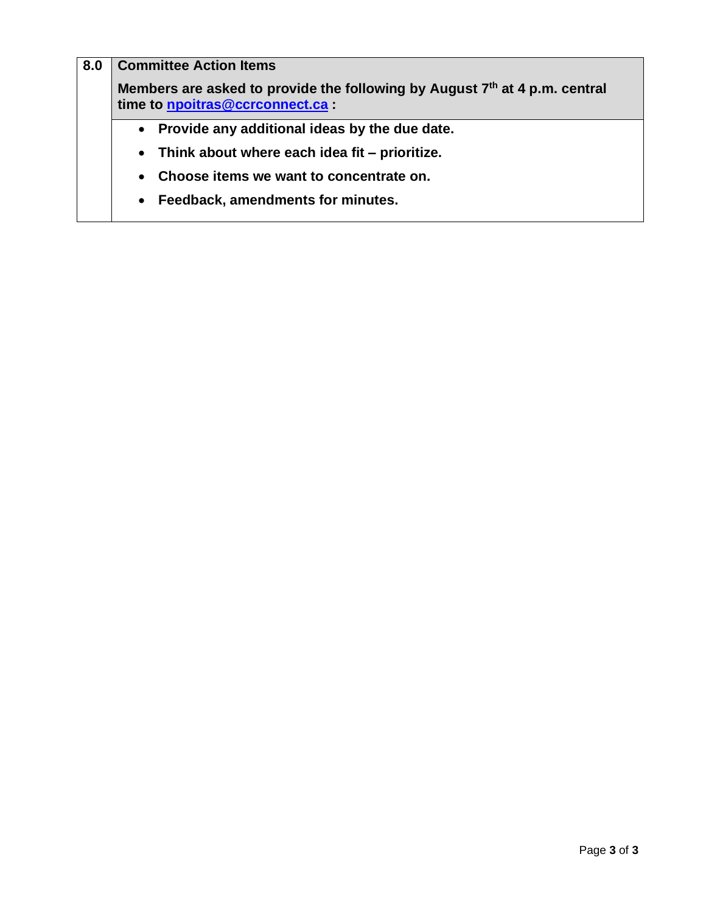| 8.0                                                        | <b>Committee Action Items</b><br>Members are asked to provide the following by August 7th at 4 p.m. central<br>time to npoitras@ccrconnect.ca : |  |  |  |  |  |  |  |
|------------------------------------------------------------|-------------------------------------------------------------------------------------------------------------------------------------------------|--|--|--|--|--|--|--|
|                                                            |                                                                                                                                                 |  |  |  |  |  |  |  |
|                                                            | Provide any additional ideas by the due date.<br>$\bullet$                                                                                      |  |  |  |  |  |  |  |
| Think about where each idea fit – prioritize.<br>$\bullet$ |                                                                                                                                                 |  |  |  |  |  |  |  |
|                                                            | Choose items we want to concentrate on.<br>$\bullet$                                                                                            |  |  |  |  |  |  |  |
|                                                            | Feedback, amendments for minutes.<br>$\bullet$                                                                                                  |  |  |  |  |  |  |  |